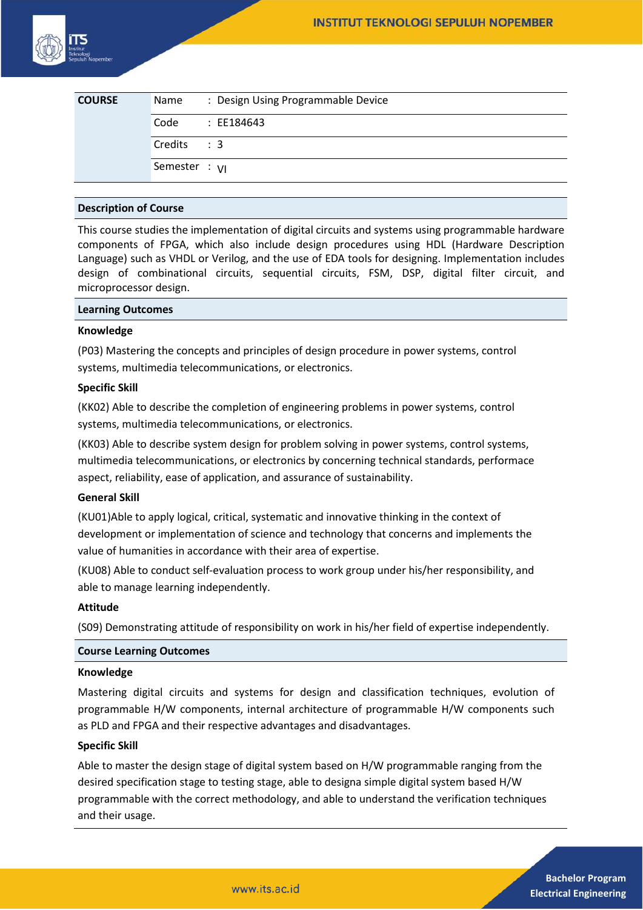| <b>COURSE</b> | Name            | : Design Using Programmable Device |
|---------------|-----------------|------------------------------------|
|               | Code            | : EE184643                         |
|               | Credits         | $\therefore$ 3                     |
|               | Semester : $VI$ |                                    |

# **Description of Course**

This course studies the implementation of digital circuits and systems using programmable hardware components of FPGA, which also include design procedures using HDL (Hardware Description Language) such as VHDL or Verilog, and the use of EDA tools for designing. Implementation includes design of combinational circuits, sequential circuits, FSM, DSP, digital filter circuit, and microprocessor design.

#### **Learning Outcomes**

## **Knowledge**

(P03) Mastering the concepts and principles of design procedure in power systems, control systems, multimedia telecommunications, or electronics.

## **Specific Skill**

(KK02) Able to describe the completion of engineering problems in power systems, control systems, multimedia telecommunications, or electronics.

(KK03) Able to describe system design for problem solving in power systems, control systems, multimedia telecommunications, or electronics by concerning technical standards, performace aspect, reliability, ease of application, and assurance of sustainability.

#### **General Skill**

(KU01)Able to apply logical, critical, systematic and innovative thinking in the context of development or implementation of science and technology that concerns and implements the value of humanities in accordance with their area of expertise.

(KU08) Able to conduct self-evaluation process to work group under his/her responsibility, and able to manage learning independently.

#### **Attitude**

(S09) Demonstrating attitude of responsibility on work in his/her field of expertise independently.

#### **Course Learning Outcomes**

#### **Knowledge**

Mastering digital circuits and systems for design and classification techniques, evolution of programmable H/W components, internal architecture of programmable H/W components such as PLD and FPGA and their respective advantages and disadvantages.

#### **Specific Skill**

Able to master the design stage of digital system based on H/W programmable ranging from the desired specification stage to testing stage, able to designa simple digital system based H/W programmable with the correct methodology, and able to understand the verification techniques and their usage.